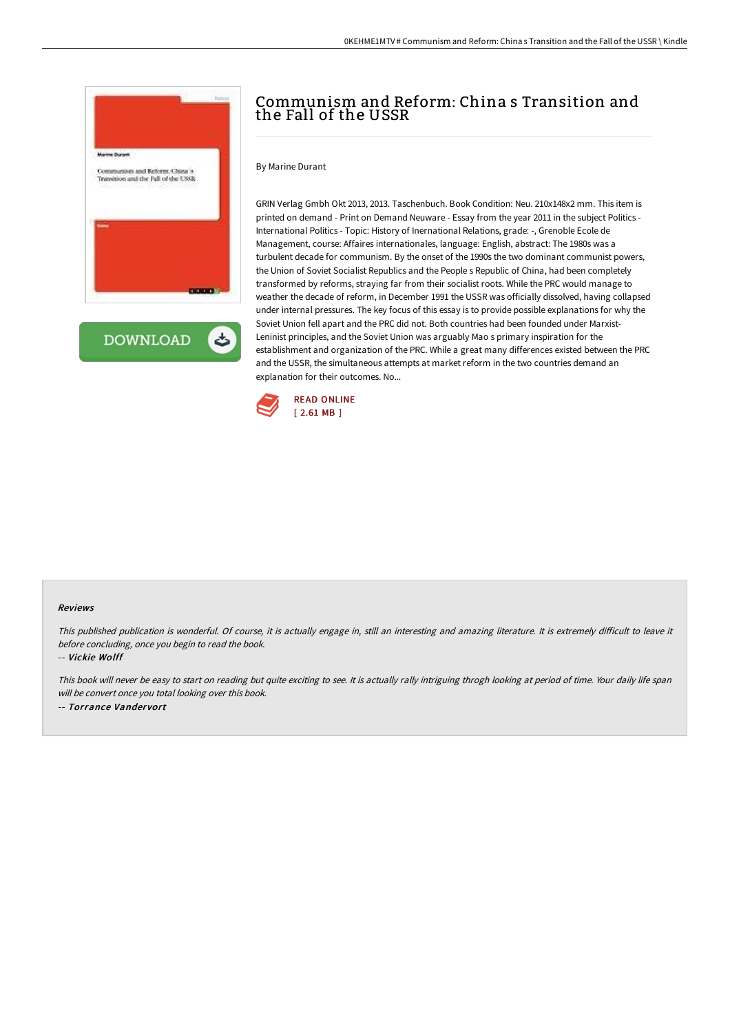

ٹ **DOWNLOAD** 

# Communism and Reform: China s Transition and the Fall of the USSR

By Marine Durant

GRIN Verlag Gmbh Okt 2013, 2013. Taschenbuch. Book Condition: Neu. 210x148x2 mm. This item is printed on demand - Print on Demand Neuware - Essay from the year 2011 in the subject Politics - International Politics - Topic: History of Inernational Relations, grade: -, Grenoble Ecole de Management, course: Affaires internationales, language: English, abstract: The 1980s was a turbulent decade for communism. By the onset of the 1990s the two dominant communist powers, the Union of Soviet Socialist Republics and the People s Republic of China, had been completely transformed by reforms, straying far from their socialist roots. While the PRC would manage to weather the decade of reform, in December 1991 the USSR was officially dissolved, having collapsed under internal pressures. The key focus of this essay is to provide possible explanations for why the Soviet Union fell apart and the PRC did not. Both countries had been founded under Marxist-Leninist principles, and the Soviet Union was arguably Mao s primary inspiration for the establishment and organization of the PRC. While a great many differences existed between the PRC and the USSR, the simultaneous attempts at market reform in the two countries demand an explanation for their outcomes. No...



#### Reviews

This published publication is wonderful. Of course, it is actually engage in, still an interesting and amazing literature. It is extremely difficult to leave it before concluding, once you begin to read the book.

-- Vickie Wolff

This book will never be easy to start on reading but quite exciting to see. It is actually rally intriguing throgh looking at period of time. Your daily life span will be convert once you total looking over this book. -- Torrance Vandervort